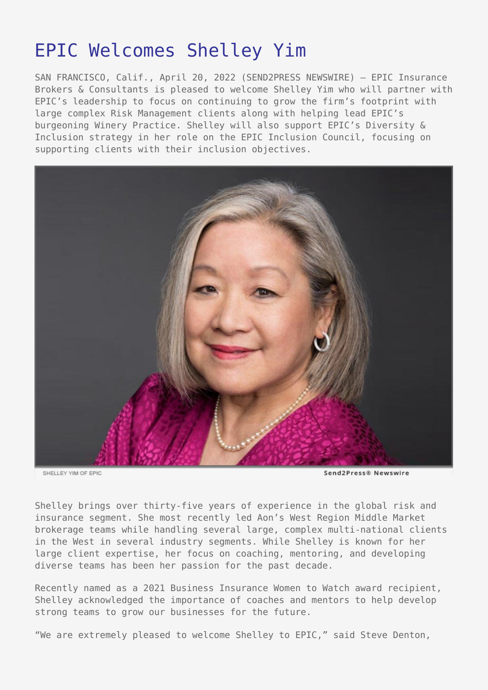# [EPIC Welcomes Shelley Yim](https://www.send2press.com/wire/epic-welcomes-shelley-yim/)

SAN FRANCISCO, Calif., April 20, 2022 (SEND2PRESS NEWSWIRE) — EPIC Insurance Brokers & Consultants is pleased to welcome Shelley Yim who will partner with EPIC's leadership to focus on continuing to grow the firm's footprint with large complex Risk Management clients along with helping lead EPIC's burgeoning Winery Practice. Shelley will also support EPIC's Diversity & Inclusion strategy in her role on the EPIC Inclusion Council, focusing on supporting clients with their inclusion objectives.



SHELLEY YIM OF EPIC

Send2Press® Newswire

Shelley brings over thirty-five years of experience in the global risk and insurance segment. She most recently led Aon's West Region Middle Market brokerage teams while handling several large, complex multi-national clients in the West in several industry segments. While Shelley is known for her large client expertise, her focus on coaching, mentoring, and developing diverse teams has been her passion for the past decade.

Recently named as a 2021 Business Insurance Women to Watch award recipient, Shelley acknowledged the importance of coaches and mentors to help develop strong teams to grow our businesses for the future.

"We are extremely pleased to welcome Shelley to EPIC," said Steve Denton,